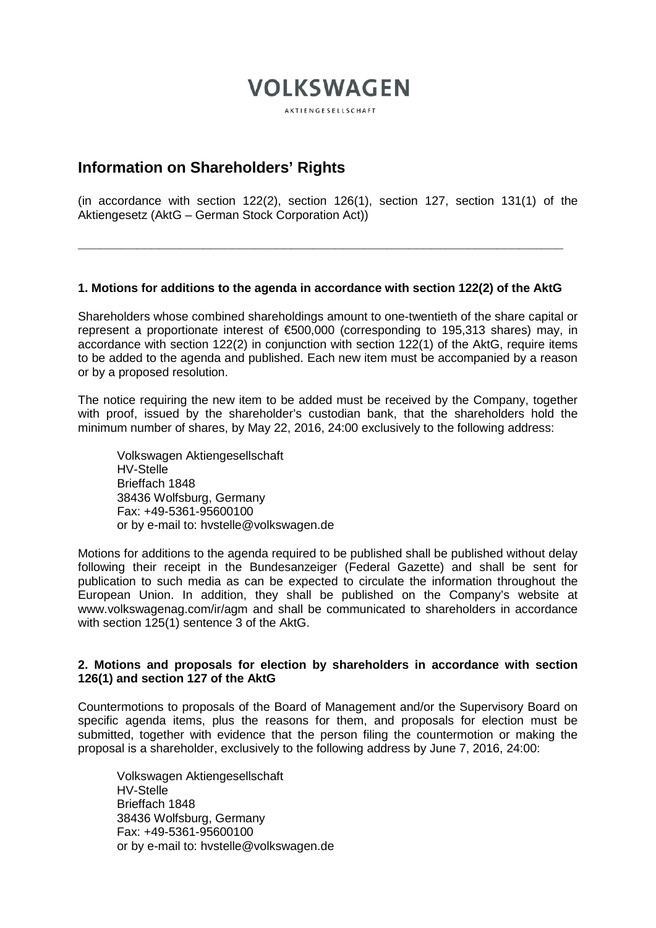# **VOLKSWAGEN**

**AKTIENGESELISCHAFT** 

# **Information on Shareholders' Rights**

(in accordance with section 122(2), section 126(1), section 127, section 131(1) of the Aktiengesetz (AktG – German Stock Corporation Act))

#### **1. Motions for additions to the agenda in accordance with section 122(2) of the AktG**

**\_\_\_\_\_\_\_\_\_\_\_\_\_\_\_\_\_\_\_\_\_\_\_\_\_\_\_\_\_\_\_\_\_\_\_\_\_\_\_\_\_\_\_\_\_\_\_\_\_\_\_\_\_\_\_\_\_\_\_\_\_\_\_\_\_\_**

Shareholders whose combined shareholdings amount to one-twentieth of the share capital or represent a proportionate interest of €500,000 (corresponding to 195,313 shares) may, in accordance with section 122(2) in conjunction with section 122(1) of the AktG, require items to be added to the agenda and published. Each new item must be accompanied by a reason or by a proposed resolution.

The notice requiring the new item to be added must be received by the Company, together with proof, issued by the shareholder's custodian bank, that the shareholders hold the minimum number of shares, by May 22, 2016, 24:00 exclusively to the following address:

Volkswagen Aktiengesellschaft HV-Stelle Brieffach 1848 38436 Wolfsburg, Germany Fax: +49-5361-95600100 or by e-mail to: hvstelle@volkswagen.de

Motions for additions to the agenda required to be published shall be published without delay following their receipt in the Bundesanzeiger (Federal Gazette) and shall be sent for publication to such media as can be expected to circulate the information throughout the European Union. In addition, they shall be published on the Company's website at www.volkswagenag.com/ir/agm and shall be communicated to shareholders in accordance with section 125(1) sentence 3 of the AktG.

#### **2. Motions and proposals for election by shareholders in accordance with section 126(1) and section 127 of the AktG**

Countermotions to proposals of the Board of Management and/or the Supervisory Board on specific agenda items, plus the reasons for them, and proposals for election must be submitted, together with evidence that the person filing the countermotion or making the proposal is a shareholder, exclusively to the following address by June 7, 2016, 24:00:

Volkswagen Aktiengesellschaft HV-Stelle Brieffach 1848 38436 Wolfsburg, Germany Fax: +49-5361-95600100 or by e-mail to: hvstelle@volkswagen.de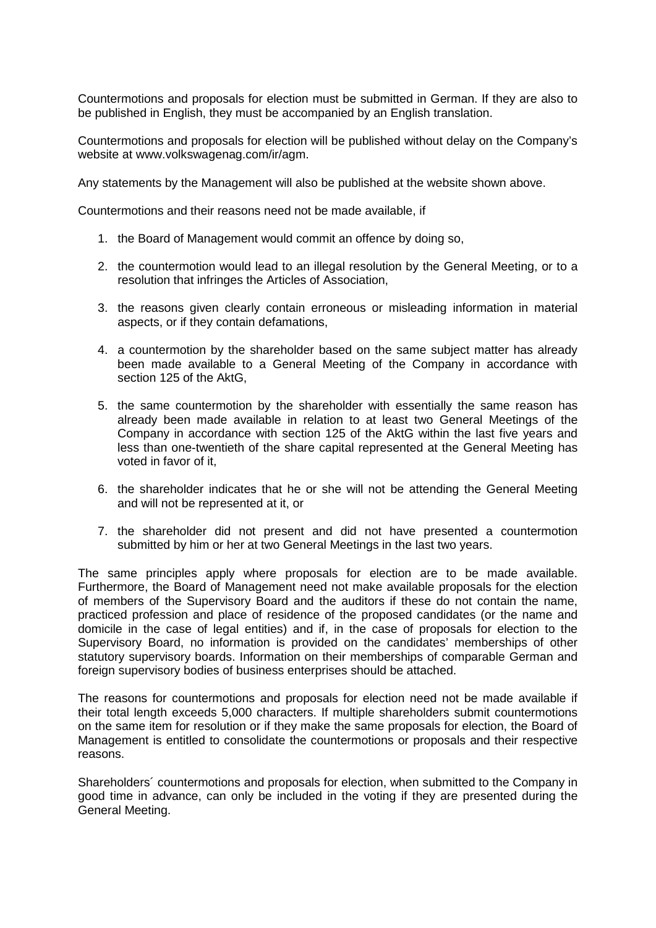Countermotions and proposals for election must be submitted in German. If they are also to be published in English, they must be accompanied by an English translation.

Countermotions and proposals for election will be published without delay on the Company's website at www.volkswagenag.com/ir/agm.

Any statements by the Management will also be published at the website shown above.

Countermotions and their reasons need not be made available, if

- 1. the Board of Management would commit an offence by doing so,
- 2. the countermotion would lead to an illegal resolution by the General Meeting, or to a resolution that infringes the Articles of Association,
- 3. the reasons given clearly contain erroneous or misleading information in material aspects, or if they contain defamations,
- 4. a countermotion by the shareholder based on the same subject matter has already been made available to a General Meeting of the Company in accordance with section 125 of the AktG,
- 5. the same countermotion by the shareholder with essentially the same reason has already been made available in relation to at least two General Meetings of the Company in accordance with section 125 of the AktG within the last five years and less than one-twentieth of the share capital represented at the General Meeting has voted in favor of it,
- 6. the shareholder indicates that he or she will not be attending the General Meeting and will not be represented at it, or
- 7. the shareholder did not present and did not have presented a countermotion submitted by him or her at two General Meetings in the last two years.

The same principles apply where proposals for election are to be made available. Furthermore, the Board of Management need not make available proposals for the election of members of the Supervisory Board and the auditors if these do not contain the name, practiced profession and place of residence of the proposed candidates (or the name and domicile in the case of legal entities) and if, in the case of proposals for election to the Supervisory Board, no information is provided on the candidates' memberships of other statutory supervisory boards. Information on their memberships of comparable German and foreign supervisory bodies of business enterprises should be attached.

The reasons for countermotions and proposals for election need not be made available if their total length exceeds 5,000 characters. If multiple shareholders submit countermotions on the same item for resolution or if they make the same proposals for election, the Board of Management is entitled to consolidate the countermotions or proposals and their respective reasons.

Shareholders´ countermotions and proposals for election, when submitted to the Company in good time in advance, can only be included in the voting if they are presented during the General Meeting.